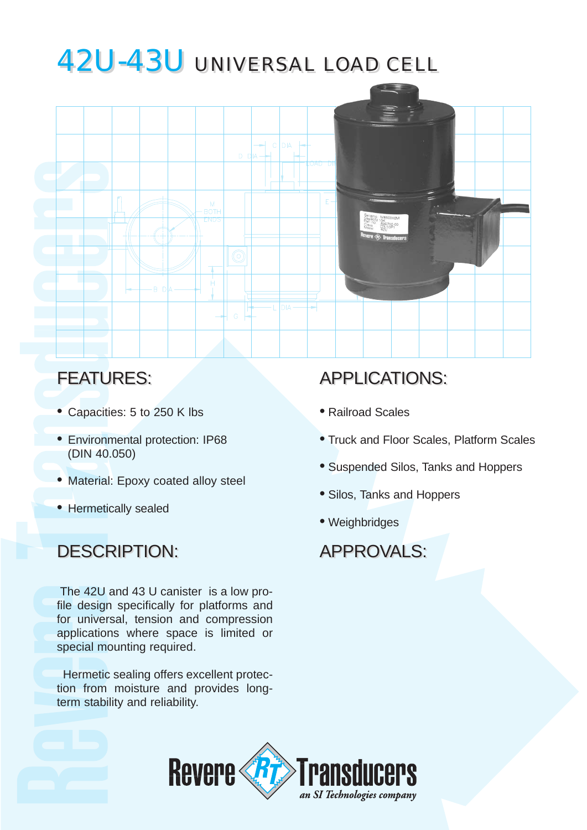# 42U-43U UNIVERSAL LOAD CELL 42U-43U UNIVERSAL LOAD CELL



### FEATURES:

- Capacities: 5 to 250 K lbs
- Environmental protection: IP68 (DIN 40.050)
- Material: Epoxy coated alloy steel
- Hermetically sealed

## DESCRIPTION: DESCRIPTION: APPROVALS: APPROVALS:

The 42U and 43 U canister is a low profile design specifically for platforms and for universal, tension and compression applications where space is limited or special mounting required.

Hermetic sealing offers excellent protection from moisture and provides longterm stability and reliability.

# APPLICATIONS:

- Railroad Scales
- Truck and Floor Scales, Platform Scales
- Suspended Silos, Tanks and Hoppers
- Silos, Tanks and Hoppers
- Weighbridges